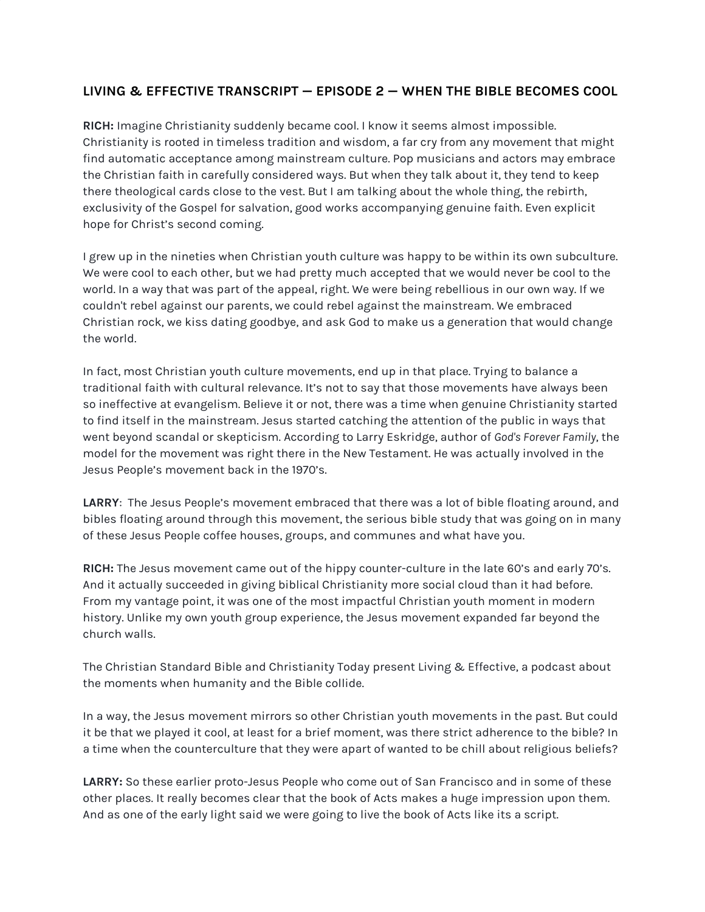## **LIVING & EFFECTIVE TRANSCRIPT — EPISODE 2 — WHEN THE BIBLE BECOMES COOL**

**RICH:** Imagine Christianity suddenly became cool. I know it seems almost impossible. Christianity is rooted in timeless tradition and wisdom, a far cry from any movement that might find automatic acceptance among mainstream culture. Pop musicians and actors may embrace the Christian faith in carefully considered ways. But when they talk about it, they tend to keep there theological cards close to the vest. But I am talking about the whole thing, the rebirth, exclusivity of the Gospel for salvation, good works accompanying genuine faith. Even explicit hope for Christ's second coming.

I grew up in the nineties when Christian youth culture was happy to be within its own subculture. We were cool to each other, but we had pretty much accepted that we would never be cool to the world. In a way that was part of the appeal, right. We were being rebellious in our own way. If we couldn't rebel against our parents, we could rebel against the mainstream. We embraced Christian rock, we kiss dating goodbye, and ask God to make us a generation that would change the world.

In fact, most Christian youth culture movements, end up in that place. Trying to balance a traditional faith with cultural relevance. It's not to say that those movements have always been so ineffective at evangelism. Believe it or not, there was a time when genuine Christianity started to find itself in the mainstream. Jesus started catching the attention of the public in ways that went beyond scandal or skepticism. According to Larry Eskridge, author of *God's Forever Family*, the model for the movement was right there in the New Testament. He was actually involved in the Jesus People's movement back in the 1970's.

**LARRY**: The Jesus People's movement embraced that there was a lot of bible floating around, and bibles floating around through this movement, the serious bible study that was going on in many of these Jesus People coffee houses, groups, and communes and what have you.

**RICH:** The Jesus movement came out of the hippy counter-culture in the late 60's and early 70's. And it actually succeeded in giving biblical Christianity more social cloud than it had before. From my vantage point, it was one of the most impactful Christian youth moment in modern history. Unlike my own youth group experience, the Jesus movement expanded far beyond the church walls.

The Christian Standard Bible and Christianity Today present Living & Effective, a podcast about the moments when humanity and the Bible collide.

In a way, the Jesus movement mirrors so other Christian youth movements in the past. But could it be that we played it cool, at least for a brief moment, was there strict adherence to the bible? In a time when the counterculture that they were apart of wanted to be chill about religious beliefs?

**LARRY:** So these earlier proto-Jesus People who come out of San Francisco and in some of these other places. It really becomes clear that the book of Acts makes a huge impression upon them. And as one of the early light said we were going to live the book of Acts like its a script.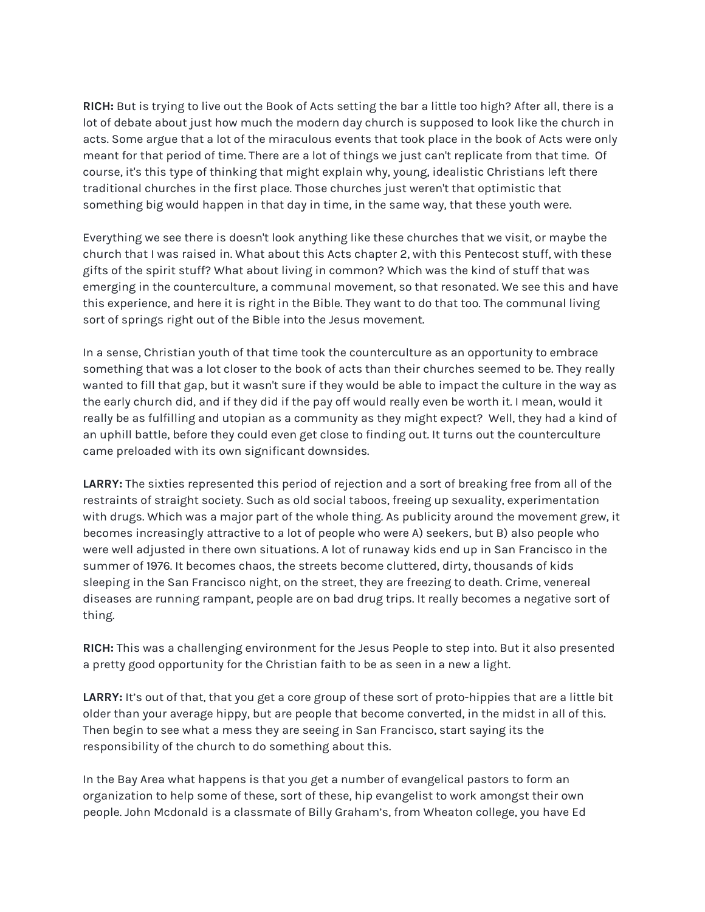**RICH:** But is trying to live out the Book of Acts setting the bar a little too high? After all, there is a lot of debate about just how much the modern day church is supposed to look like the church in acts. Some argue that a lot of the miraculous events that took place in the book of Acts were only meant for that period of time. There are a lot of things we just can't replicate from that time. Of course, it's this type of thinking that might explain why, young, idealistic Christians left there traditional churches in the first place. Those churches just weren't that optimistic that something big would happen in that day in time, in the same way, that these youth were.

Everything we see there is doesn't look anything like these churches that we visit, or maybe the church that I was raised in. What about this Acts chapter 2, with this Pentecost stuff, with these gifts of the spirit stuff? What about living in common? Which was the kind of stuff that was emerging in the counterculture, a communal movement, so that resonated. We see this and have this experience, and here it is right in the Bible. They want to do that too. The communal living sort of springs right out of the Bible into the Jesus movement.

In a sense, Christian youth of that time took the counterculture as an opportunity to embrace something that was a lot closer to the book of acts than their churches seemed to be. They really wanted to fill that gap, but it wasn't sure if they would be able to impact the culture in the way as the early church did, and if they did if the pay off would really even be worth it. I mean, would it really be as fulfilling and utopian as a community as they might expect? Well, they had a kind of an uphill battle, before they could even get close to finding out. It turns out the counterculture came preloaded with its own significant downsides.

**LARRY:** The sixties represented this period of rejection and a sort of breaking free from all of the restraints of straight society. Such as old social taboos, freeing up sexuality, experimentation with drugs. Which was a major part of the whole thing. As publicity around the movement grew, it becomes increasingly attractive to a lot of people who were A) seekers, but B) also people who were well adjusted in there own situations. A lot of runaway kids end up in San Francisco in the summer of 1976. It becomes chaos, the streets become cluttered, dirty, thousands of kids sleeping in the San Francisco night, on the street, they are freezing to death. Crime, venereal diseases are running rampant, people are on bad drug trips. It really becomes a negative sort of thing.

**RICH:** This was a challenging environment for the Jesus People to step into. But it also presented a pretty good opportunity for the Christian faith to be as seen in a new a light.

LARRY: It's out of that, that you get a core group of these sort of proto-hippies that are a little bit older than your average hippy, but are people that become converted, in the midst in all of this. Then begin to see what a mess they are seeing in San Francisco, start saying its the responsibility of the church to do something about this.

In the Bay Area what happens is that you get a number of evangelical pastors to form an organization to help some of these, sort of these, hip evangelist to work amongst their own people. John Mcdonald is a classmate of Billy Graham's, from Wheaton college, you have Ed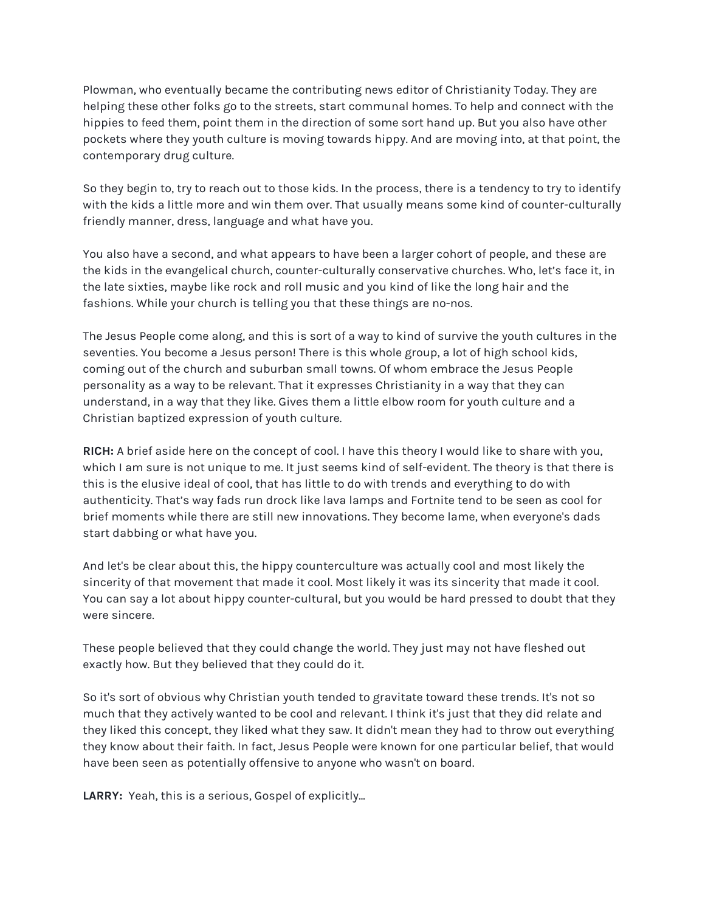Plowman, who eventually became the contributing news editor of Christianity Today. They are helping these other folks go to the streets, start communal homes. To help and connect with the hippies to feed them, point them in the direction of some sort hand up. But you also have other pockets where they youth culture is moving towards hippy. And are moving into, at that point, the contemporary drug culture.

So they begin to, try to reach out to those kids. In the process, there is a tendency to try to identify with the kids a little more and win them over. That usually means some kind of counter-culturally friendly manner, dress, language and what have you.

You also have a second, and what appears to have been a larger cohort of people, and these are the kids in the evangelical church, counter-culturally conservative churches. Who, let's face it, in the late sixties, maybe like rock and roll music and you kind of like the long hair and the fashions. While your church is telling you that these things are no-nos.

The Jesus People come along, and this is sort of a way to kind of survive the youth cultures in the seventies. You become a Jesus person! There is this whole group, a lot of high school kids, coming out of the church and suburban small towns. Of whom embrace the Jesus People personality as a way to be relevant. That it expresses Christianity in a way that they can understand, in a way that they like. Gives them a little elbow room for youth culture and a Christian baptized expression of youth culture.

**RICH:** A brief aside here on the concept of cool. I have this theory I would like to share with you, which I am sure is not unique to me. It just seems kind of self-evident. The theory is that there is this is the elusive ideal of cool, that has little to do with trends and everything to do with authenticity. That's way fads run drock like lava lamps and Fortnite tend to be seen as cool for brief moments while there are still new innovations. They become lame, when everyone's dads start dabbing or what have you.

And let's be clear about this, the hippy counterculture was actually cool and most likely the sincerity of that movement that made it cool. Most likely it was its sincerity that made it cool. You can say a lot about hippy counter-cultural, but you would be hard pressed to doubt that they were sincere.

These people believed that they could change the world. They just may not have fleshed out exactly how. But they believed that they could do it.

So it's sort of obvious why Christian youth tended to gravitate toward these trends. It's not so much that they actively wanted to be cool and relevant. I think it's just that they did relate and they liked this concept, they liked what they saw. It didn't mean they had to throw out everything they know about their faith. In fact, Jesus People were known for one particular belief, that would have been seen as potentially offensive to anyone who wasn't on board.

**LARRY:** Yeah, this is a serious, Gospel of explicitly...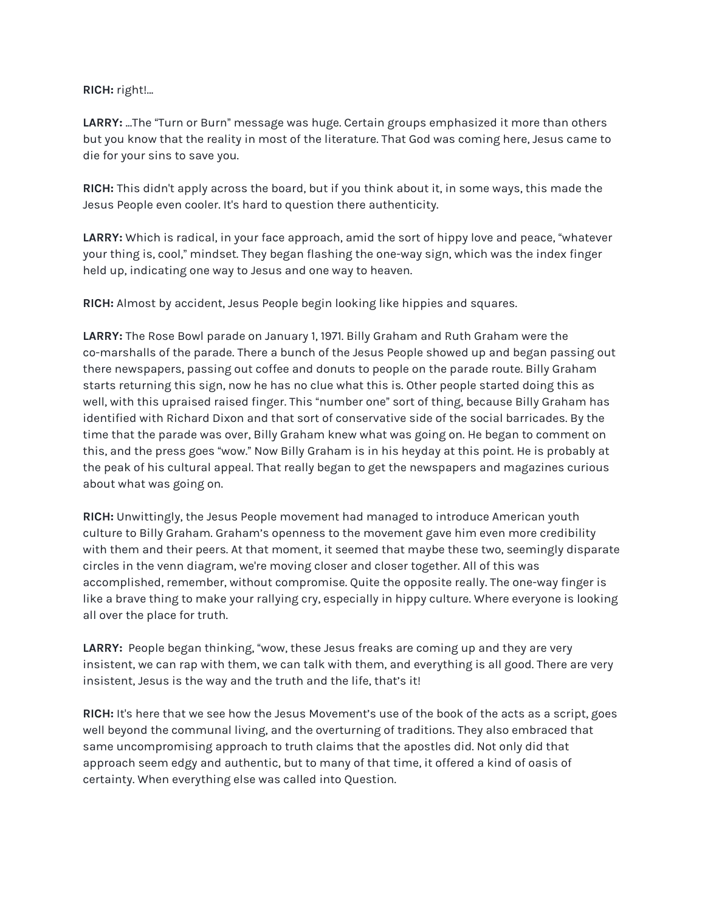## **RICH:** right!...

**LARRY:** ...The "Turn or Burn" message was huge. Certain groups emphasized it more than others but you know that the reality in most of the literature. That God was coming here, Jesus came to die for your sins to save you.

**RICH:** This didn't apply across the board, but if you think about it, in some ways, this made the Jesus People even cooler. It's hard to question there authenticity.

**LARRY:** Which is radical, in your face approach, amid the sort of hippy love and peace, "whatever your thing is, cool," mindset. They began flashing the one-way sign, which was the index finger held up, indicating one way to Jesus and one way to heaven.

**RICH:** Almost by accident, Jesus People begin looking like hippies and squares.

**LARRY:** The Rose Bowl parade on January 1, 1971. Billy Graham and Ruth Graham were the co-marshalls of the parade. There a bunch of the Jesus People showed up and began passing out there newspapers, passing out coffee and donuts to people on the parade route. Billy Graham starts returning this sign, now he has no clue what this is. Other people started doing this as well, with this upraised raised finger. This "number one" sort of thing, because Billy Graham has identified with Richard Dixon and that sort of conservative side of the social barricades. By the time that the parade was over, Billy Graham knew what was going on. He began to comment on this, and the press goes "wow." Now Billy Graham is in his heyday at this point. He is probably at the peak of his cultural appeal. That really began to get the newspapers and magazines curious about what was going on.

**RICH:** Unwittingly, the Jesus People movement had managed to introduce American youth culture to Billy Graham. Graham's openness to the movement gave him even more credibility with them and their peers. At that moment, it seemed that maybe these two, seemingly disparate circles in the venn diagram, we're moving closer and closer together. All of this was accomplished, remember, without compromise. Quite the opposite really. The one-way finger is like a brave thing to make your rallying cry, especially in hippy culture. Where everyone is looking all over the place for truth.

**LARRY:** People began thinking, "wow, these Jesus freaks are coming up and they are very insistent, we can rap with them, we can talk with them, and everything is all good. There are very insistent, Jesus is the way and the truth and the life, that's it!

**RICH:** It's here that we see how the Jesus Movement's use of the book of the acts as a script, goes well beyond the communal living, and the overturning of traditions. They also embraced that same uncompromising approach to truth claims that the apostles did. Not only did that approach seem edgy and authentic, but to many of that time, it offered a kind of oasis of certainty. When everything else was called into Question.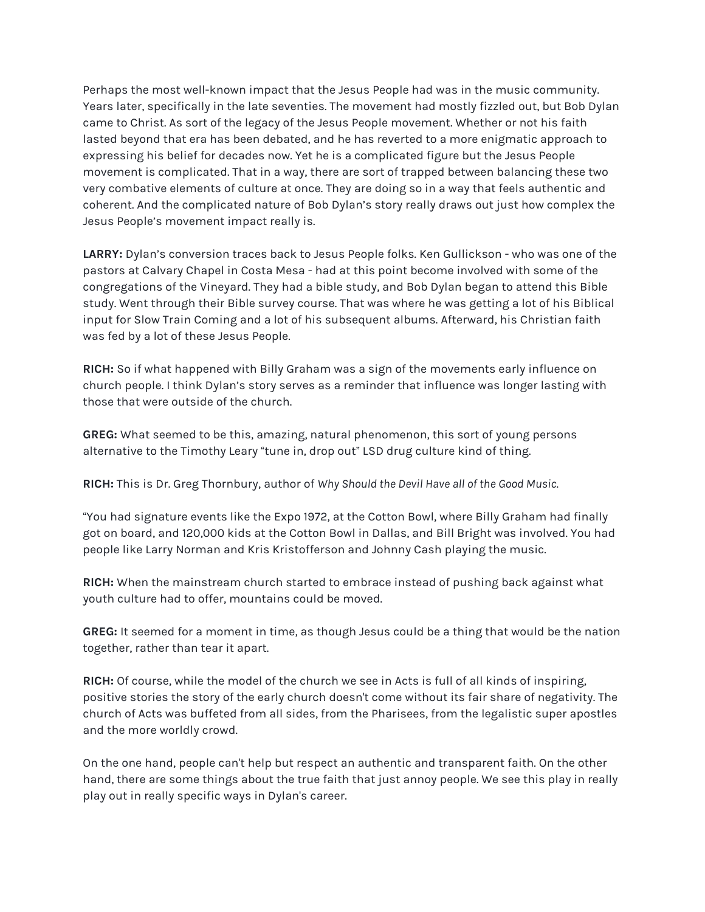Perhaps the most well-known impact that the Jesus People had was in the music community. Years later, specifically in the late seventies. The movement had mostly fizzled out, but Bob Dylan came to Christ. As sort of the legacy of the Jesus People movement. Whether or not his faith lasted beyond that era has been debated, and he has reverted to a more enigmatic approach to expressing his belief for decades now. Yet he is a complicated figure but the Jesus People movement is complicated. That in a way, there are sort of trapped between balancing these two very combative elements of culture at once. They are doing so in a way that feels authentic and coherent. And the complicated nature of Bob Dylan's story really draws out just how complex the Jesus People's movement impact really is.

**LARRY:** Dylan's conversion traces back to Jesus People folks. Ken Gullickson - who was one of the pastors at Calvary Chapel in Costa Mesa - had at this point become involved with some of the congregations of the Vineyard. They had a bible study, and Bob Dylan began to attend this Bible study. Went through their Bible survey course. That was where he was getting a lot of his Biblical input for Slow Train Coming and a lot of his subsequent albums. Afterward, his Christian faith was fed by a lot of these Jesus People.

**RICH:** So if what happened with Billy Graham was a sign of the movements early influence on church people. I think Dylan's story serves as a reminder that influence was longer lasting with those that were outside of the church.

**GREG:** What seemed to be this, amazing, natural phenomenon, this sort of young persons alternative to the Timothy Leary "tune in, drop out" LSD drug culture kind of thing.

**RICH:** This is Dr. Greg Thornbury, author of *Why Should the Devil Have all of the Good Music*.

"You had signature events like the Expo 1972, at the Cotton Bowl, where Billy Graham had finally got on board, and 120,000 kids at the Cotton Bowl in Dallas, and Bill Bright was involved. You had people like Larry Norman and Kris Kristofferson and Johnny Cash playing the music.

**RICH:** When the mainstream church started to embrace instead of pushing back against what youth culture had to offer, mountains could be moved.

**GREG:** It seemed for a moment in time, as though Jesus could be a thing that would be the nation together, rather than tear it apart.

**RICH:** Of course, while the model of the church we see in Acts is full of all kinds of inspiring, positive stories the story of the early church doesn't come without its fair share of negativity. The church of Acts was buffeted from all sides, from the Pharisees, from the legalistic super apostles and the more worldly crowd.

On the one hand, people can't help but respect an authentic and transparent faith. On the other hand, there are some things about the true faith that just annoy people. We see this play in really play out in really specific ways in Dylan's career.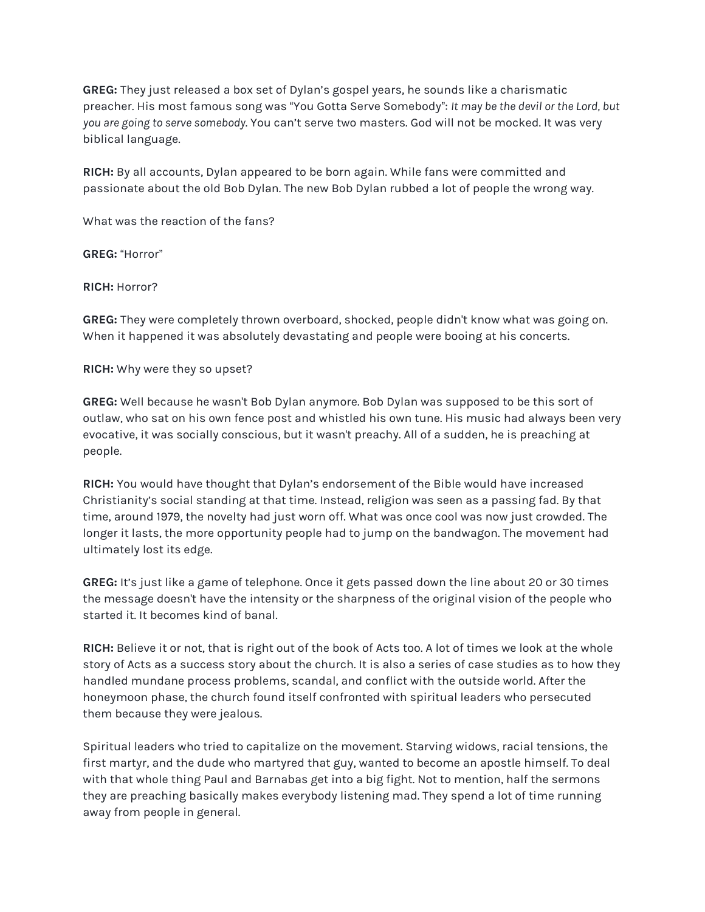**GREG:** They just released a box set of Dylan's gospel years, he sounds like a charismatic preacher. His most famous song was "You Gotta Serve Somebody": *It may be the devil or the Lord, but you are going to serve somebody*. You can't serve two masters. God will not be mocked. It was very biblical language.

**RICH:** By all accounts, Dylan appeared to be born again. While fans were committed and passionate about the old Bob Dylan. The new Bob Dylan rubbed a lot of people the wrong way.

What was the reaction of the fans?

**GREG:** "Horror"

**RICH:** Horror?

**GREG:** They were completely thrown overboard, shocked, people didn't know what was going on. When it happened it was absolutely devastating and people were booing at his concerts.

**RICH:** Why were they so upset?

**GREG:** Well because he wasn't Bob Dylan anymore. Bob Dylan was supposed to be this sort of outlaw, who sat on his own fence post and whistled his own tune. His music had always been very evocative, it was socially conscious, but it wasn't preachy. All of a sudden, he is preaching at people.

**RICH:** You would have thought that Dylan's endorsement of the Bible would have increased Christianity's social standing at that time. Instead, religion was seen as a passing fad. By that time, around 1979, the novelty had just worn off. What was once cool was now just crowded. The longer it lasts, the more opportunity people had to jump on the bandwagon. The movement had ultimately lost its edge.

**GREG:** It's just like a game of telephone. Once it gets passed down the line about 20 or 30 times the message doesn't have the intensity or the sharpness of the original vision of the people who started it. It becomes kind of banal.

**RICH:** Believe it or not, that is right out of the book of Acts too. A lot of times we look at the whole story of Acts as a success story about the church. It is also a series of case studies as to how they handled mundane process problems, scandal, and conflict with the outside world. After the honeymoon phase, the church found itself confronted with spiritual leaders who persecuted them because they were jealous.

Spiritual leaders who tried to capitalize on the movement. Starving widows, racial tensions, the first martyr, and the dude who martyred that guy, wanted to become an apostle himself. To deal with that whole thing Paul and Barnabas get into a big fight. Not to mention, half the sermons they are preaching basically makes everybody listening mad. They spend a lot of time running away from people in general.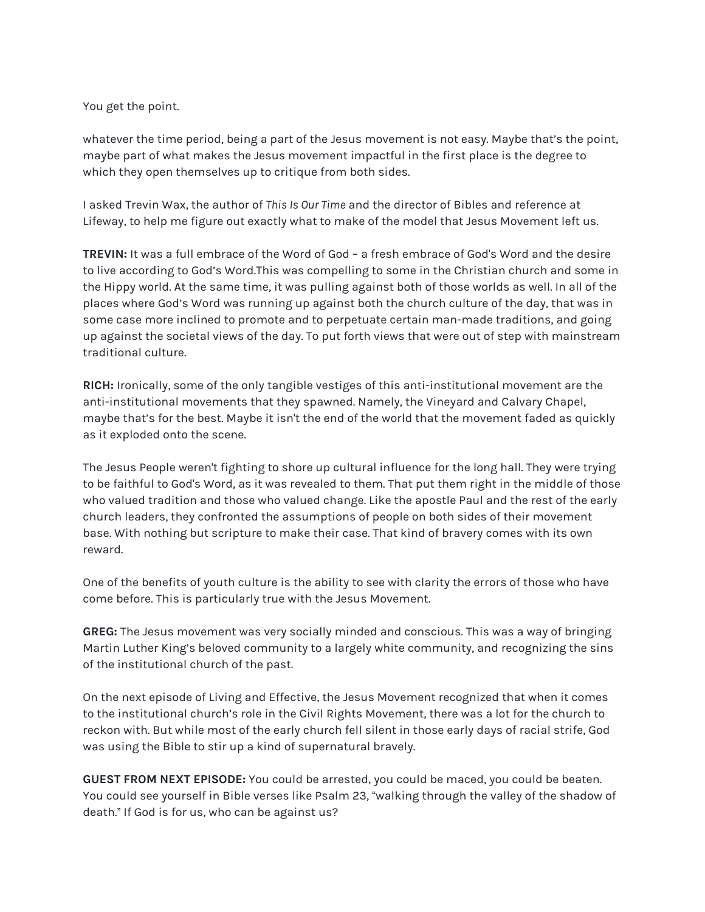You get the point.

whatever the time period, being a part of the Jesus movement is not easy. Maybe that's the point, maybe part of what makes the Jesus movement impactful in the first place is the degree to which they open themselves up to critique from both sides.

I asked Trevin Wax, the author of *This Is Our Time* and the director of Bibles and reference at Lifeway, to help me figure out exactly what to make of the model that Jesus Movement left us.

**TREVIN:** It was a full embrace of the Word of God – a fresh embrace of God's Word and the desire to live according to God's Word.This was compelling to some in the Christian church and some in the Hippy world. At the same time, it was pulling against both of those worlds as well. In all of the places where God's Word was running up against both the church culture of the day, that was in some case more inclined to promote and to perpetuate certain man-made traditions, and going up against the societal views of the day. To put forth views that were out of step with mainstream traditional culture.

**RICH:** Ironically, some of the only tangible vestiges of this anti-institutional movement are the anti-institutional movements that they spawned. Namely, the Vineyard and Calvary Chapel, maybe that's for the best. Maybe it isn't the end of the world that the movement faded as quickly as it exploded onto the scene.

The Jesus People weren't fighting to shore up cultural influence for the long hall. They were trying to be faithful to God's Word, as it was revealed to them. That put them right in the middle of those who valued tradition and those who valued change. Like the apostle Paul and the rest of the early church leaders, they confronted the assumptions of people on both sides of their movement base. With nothing but scripture to make their case. That kind of bravery comes with its own reward.

One of the benefits of youth culture is the ability to see with clarity the errors of those who have come before. This is particularly true with the Jesus Movement.

**GREG:** The Jesus movement was very socially minded and conscious. This was a way of bringing Martin Luther King's beloved community to a largely white community, and recognizing the sins of the institutional church of the past.

On the next episode of Living and Effective, the Jesus Movement recognized that when it comes to the institutional church's role in the Civil Rights Movement, there was a lot for the church to reckon with. But while most of the early church fell silent in those early days of racial strife, God was using the Bible to stir up a kind of supernatural bravely.

**GUEST FROM NEXT EPISODE:** You could be arrested, you could be maced, you could be beaten. You could see yourself in Bible verses like Psalm 23, "walking through the valley of the shadow of death." If God is for us, who can be against us?